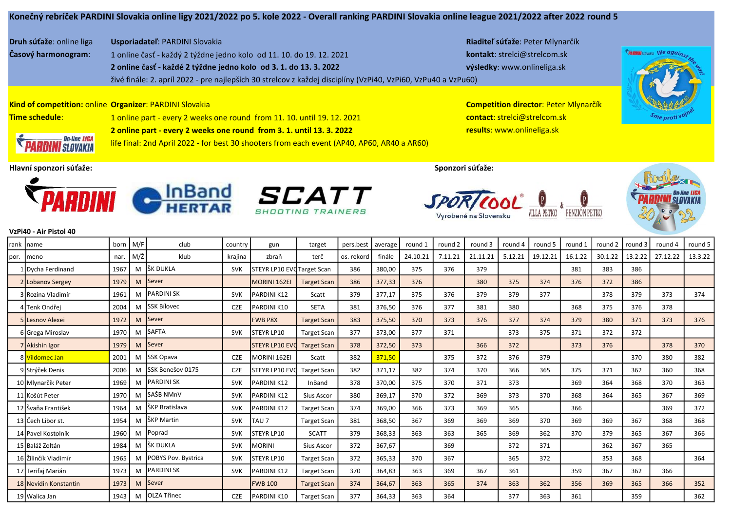Druh súťaže: online liga Usporiadateľ: PARDINI Slovakia Riaditeľ súťaže: Peter Mlynarčík

Časový harmonogram: 1 online časť - každý 2 týždne jedno kolo od 11. 10. do 19. 12. 2021 kontakt: strelci@strelcom.sk 2 online časť - každé 2 týždne jedno kolo od 3. 1. do 13. 3. 2022 výsledky: www.onlineliga.sk živé finále: 2. apríl 2022 - pre najlepších 30 strelcov z každej disciplíny (VzPi40, VzPi60, VzPu40 a VzPu60)



Kind of competition: online Organizer: PARDINI Slovakia Competition director: Peter Mlynarčík Time schedule: 1 online part - every 2 weeks one round from 11. 10. until 19. 12. 2021 contact: strelci@strelcom.sk 2 online part - every 2 weeks one round from 3. 1. until 13. 3. 2022 **and Exercise 2 and Termina and Tesults:** www.onlineliga.sk



On-line LIGA **SI NVAKIA**  life final: 2nd April 2022 - for best 30 shooters from each event (AP40, AP60, AR40 a AR60)

Hlavní sponzori súťaže: Sponzori súťaže:



*SCATT* 

PENZIÓN PETKO **/ILLA PETKO** 





## VzPi40 - Air Pistol 40

|      | Irank Iname           | born | M/F | club                | country    | gun                        | target             | pers.best  | average | round 1  | round 2 | round 3  | round 4 | round 5  | round 1 | round 2 | round 3 | round 4  | round 5 |
|------|-----------------------|------|-----|---------------------|------------|----------------------------|--------------------|------------|---------|----------|---------|----------|---------|----------|---------|---------|---------|----------|---------|
| por. | Imeno                 | nar. | M/Ž | klub                | krajina    | zbraň                      | terč               | os. rekord | finále  | 24.10.21 | 7.11.21 | 21.11.21 | 5.12.21 | 19.12.21 | 16.1.22 | 30.1.22 | 13.2.22 | 27.12.22 | 13.3.22 |
|      | 1 Dycha Ferdinand     | 1967 | M   | lšk dukla           | <b>SVK</b> | STEYR LP10 EVC Target Scan |                    | 386        | 380,00  | 375      | 376     | 379      |         |          | 381     | 383     | 386     |          |         |
|      | 2 Lobanov Sergey      | 1979 | M   | <b>Sever</b>        |            | MORINI 162EI               | <b>Target Scan</b> | 386        | 377,33  | 376      |         | 380      | 375     | 374      | 376     | 372     | 386     |          |         |
|      | 3 Rozina Vladimír     | 1961 |     | PARDINI SK          | <b>SVK</b> | <b>PARDINI K12</b>         | Scatt              | 379        | 377,17  | 375      | 376     | 379      | 379     | 377      |         | 378     | 379     | 373      | 374     |
|      | 4 Tenk Ondřei         | 2004 | M   | <b>ISSK Bílovec</b> | <b>CZE</b> | PARDINI K10                | <b>SETA</b>        | 381        | 376,50  | 376      | 377     | 381      | 380     |          | 368     | 375     | 376     | 378      |         |
|      | 5 Lesnov Alexei       | 1972 | M   | <b>Sever</b>        |            | <b>FWB P8X</b>             | <b>Target Scan</b> | 383        | 375,50  | 370      | 373     | 376      | 377     | 374      | 379     | 380     | 371     | 373      | 376     |
|      | 6 Grega Miroslav      | 1970 | M   | <b>SAFTA</b>        | <b>SVK</b> | <b>STEYR LP10</b>          | <b>Target Scan</b> | 377        | 373,00  | 377      | 371     |          | 373     | 375      | 371     | 372     | 372     |          |         |
|      | 7 Akishin Igor        | 1979 | M   | <b>Sever</b>        |            | <b>STEYR LP10 EVO</b>      | <b>Target Scan</b> | 378        | 372,50  | 373      |         | 366      | 372     |          | 373     | 376     |         | 378      | 370     |
|      | 8 Vildomec Jan        | 2001 | M   | <b>SSK Opava</b>    | <b>CZE</b> | MORINI 162EI               | Scatt              | 382        | 371,50  |          | 375     | 372      | 376     | 379      |         |         | 370     | 380      | 382     |
|      | 9 Strýček Denis       | 2006 | M   | lSSK Benešov 0175   | <b>CZE</b> | ISTEYR LP10 EVO            | <b>Target Scan</b> | 382        | 371,17  | 382      | 374     | 370      | 366     | 365      | 375     | 371     | 362     | 360      | 368     |
|      | 10 Mlynarčík Peter    | 1969 | M   | PARDINI SK          | <b>SVK</b> | <b>PARDINI K12</b>         | InBand             | 378        | 370,00  | 375      | 370     | 371      | 373     |          | 369     | 364     | 368     | 370      | 363     |
|      | 11 Košút Peter        | 1970 | M   | SAŠB NMnV           | <b>SVK</b> | PARDINI K12                | Sius Ascor         | 380        | 369,17  | 370      | 372     | 369      | 373     | 370      | 368     | 364     | 365     | 367      | 369     |
|      | 12 Švaňa František    | 1964 | M   | lŠKP Bratislava     | <b>SVK</b> | <b>PARDINI K12</b>         | <b>Target Scan</b> | 374        | 369,00  | 366      | 373     | 369      | 365     |          | 366     |         |         | 369      | 372     |
|      | 13 Čech Libor st.     | 1954 | M   | lŠKP Martin         | <b>SVK</b> | <b>TAU 7</b>               | <b>Target Scan</b> | 381        | 368,50  | 367      | 369     | 369      | 369     | 370      | 369     | 369     | 367     | 368      | 368     |
|      | 14 Pavel Kostolník    | 1960 | M   | Poprad              | <b>SVK</b> | <b>STEYR LP10</b>          | <b>SCATT</b>       | 379        | 368,33  | 363      | 363     | 365      | 369     | 362      | 370     | 379     | 365     | 367      | 366     |
|      | 15 Baláž Zoltán       | 1984 | M   | lšk dukla           | <b>SVK</b> | MORINI                     | Sius Ascor         | 372        | 367,67  |          | 369     |          | 372     | 371      |         | 362     | 367     | 365      |         |
|      | 16 Žilinčík Vladimír  | 1965 | м   | POBYS Pov. Bystrica | <b>SVK</b> | <b>I</b> STEYR LP10        | <b>Target Scan</b> | 372        | 365,33  | 370      | 367     |          | 365     | 372      |         | 353     | 368     |          | 364     |
|      | 17 Terifaj Marián     | 1973 | M   | <b>PARDINI SK</b>   | <b>SVK</b> | <b>PARDINI K12</b>         | <b>Target Scan</b> | 370        | 364,83  | 363      | 369     | 367      | 361     |          | 359     | 367     | 362     | 366      |         |
|      | 18 Nevidin Konstantin | 1973 | M   | Sever               |            | <b>FWB 100</b>             | <b>Target Scan</b> | 374        | 364,67  | 363      | 365     | 374      | 363     | 362      | 356     | 369     | 365     | 366      | 352     |
|      | 19 Walica Jan         | 1943 | M   | <b>OLZA Třinec</b>  | <b>CZE</b> | PARDINI K10                | <b>Target Scan</b> | 377        | 364,33  | 363      | 364     |          | 377     | 363      | 361     |         | 359     |          | 362     |
|      |                       |      |     |                     |            |                            |                    |            |         |          |         |          |         |          |         |         |         |          |         |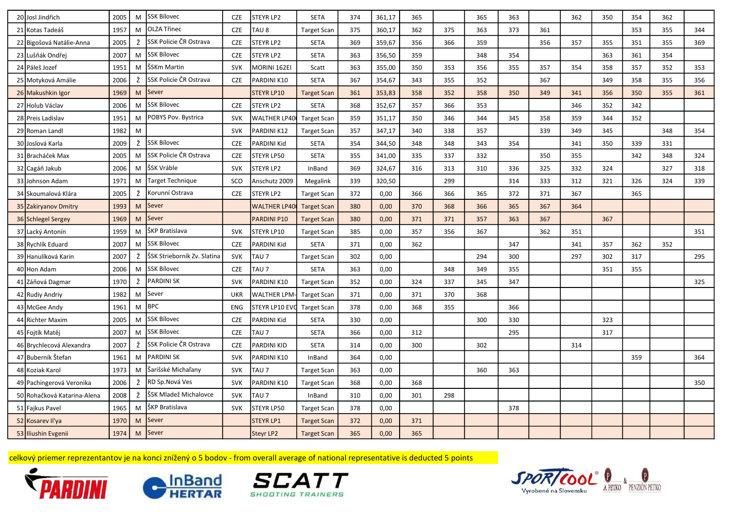| 20 Josl Jindřich            | 2005 | M | SSK Bílovec                 | <b>CZE</b> | <b>STEYR LP2</b>    | <b>SETA</b>        | 374 | 361,17 | 365 |     | 365 | 363 |     | 362 | 350 | 354 | 362 |     |
|-----------------------------|------|---|-----------------------------|------------|---------------------|--------------------|-----|--------|-----|-----|-----|-----|-----|-----|-----|-----|-----|-----|
| 21 Kotas Tadeáš             | 1957 | M | OLZA Třinec                 | <b>CZE</b> | TAU <sub>8</sub>    | <b>Target Scan</b> | 375 | 360,17 | 362 | 375 | 363 | 373 | 361 |     |     | 353 | 355 | 344 |
| 22 Bigošová Natálie-Anna    | 2005 | Ž | SSK Policie ČR Ostrava      | <b>CZE</b> | STEYR LP2           | <b>SETA</b>        | 369 | 359,67 | 356 | 366 | 359 |     | 356 | 357 | 355 | 351 | 355 | 369 |
| 23 Lušňák Ondřej            | 2007 | M | <b>SSK Bílovec</b>          | <b>CZE</b> | STEYR LP2           | <b>SETA</b>        | 363 | 356,50 | 359 |     | 348 | 354 |     |     | 363 | 361 | 354 |     |
| 24 Páleš Jozef              | 1951 | M | ŠSKm Martin                 | <b>SVK</b> | MORINI 162EI        | Scatt              | 363 | 355,00 | 350 | 353 | 356 | 355 | 357 | 354 | 358 | 357 | 352 | 353 |
| 25 Motyková Amálie          | 2006 | Ž | SSK Policie ČR Ostrava      | <b>CZE</b> | PARDINI K10         | <b>SETA</b>        | 367 | 354,67 | 343 | 355 | 352 |     | 367 |     | 349 | 358 | 355 | 356 |
| 26 Makushkin Igor           | 1969 | M | Sever                       |            | <b>STEYR LP10</b>   | <b>Target Scar</b> | 361 | 353,83 | 358 | 352 | 358 | 350 | 349 | 341 | 356 | 350 | 355 | 361 |
| 27 Holub Václav             | 2006 | M | SSK Bílovec                 | <b>CZE</b> | <b>STEYR LP2</b>    | <b>SETA</b>        | 368 | 352,67 | 357 | 366 | 353 |     |     | 346 | 352 | 342 |     |     |
| 28 Preis Ladislav           | 1951 | M | POBYS Pov. Bystrica         | <b>SVK</b> | <b>WALTHER LP40</b> | <b>Target Scan</b> | 359 | 351,17 | 350 | 346 | 344 | 345 | 358 | 359 | 344 | 352 |     |     |
| 29 Roman Landl              | 1982 | M |                             | <b>SVK</b> | PARDINI K12         | <b>Target Scan</b> | 357 | 347,17 | 340 | 338 | 357 |     | 339 | 349 | 345 |     | 348 | 354 |
| 30 Joslová Karla            | 2009 | Ž | <b>SSK Bílovec</b>          | <b>CZE</b> | PARDINI Kid         | SETA               | 354 | 344,50 | 348 | 348 | 343 | 354 |     | 341 | 350 | 339 | 331 |     |
| 31 Bracháček Max            | 2005 | M | SSK Policie ČR Ostrava      | <b>CZE</b> | <b>STEYR LP50</b>   | <b>SETA</b>        | 355 | 341,00 | 335 | 337 | 332 |     | 350 | 355 |     | 342 | 348 | 324 |
| 32 Cagáň Jakub              | 2006 | M | ŠSK Vráble                  | <b>SVK</b> | <b>STEYR LP2</b>    | InBand             | 369 | 324,67 | 316 | 313 | 310 | 336 | 325 | 332 | 324 |     | 327 | 318 |
| 33 Johnson Adam             | 1971 | M | <b>Target Technique</b>     | SCO        | Anschutz 2009       | Megalink           | 339 | 320,50 |     | 299 |     | 314 | 333 | 312 | 321 | 326 | 324 | 339 |
| 34 Skoumalová Klára         | 2005 | Ž | Korunní Ostrava             | <b>CZE</b> | <b>STEYR LP2</b>    | <b>Target Scan</b> | 372 | 0,00   | 366 | 366 | 365 | 372 | 371 | 367 |     | 365 |     |     |
| 35 Zakiryanov Dmitry        | 1993 | M | Sever                       |            | <b>WALTHER LP40</b> | <b>Target Scan</b> | 380 | 0,00   | 370 | 368 | 366 | 365 | 367 | 364 |     |     |     |     |
| 36 Schlegel Sergey          | 1969 | M | Sever                       |            | PARDINI P10         | <b>Target Scan</b> | 380 | 0,00   | 371 | 371 | 357 | 363 | 367 |     | 367 |     |     |     |
| 37 Lacký Antonín            | 1959 | M | ŠKP Bratislava              | <b>SVK</b> | STEYR LP10          | <b>Target Scan</b> | 385 | 0,00   | 357 | 356 | 367 |     | 362 | 351 |     |     |     | 351 |
| 38 Rychlík Eduard           | 2007 | M | <b>SSK Bílovec</b>          | <b>CZE</b> | PARDINI Kid         | <b>SETA</b>        | 371 | 0,00   | 362 |     |     | 347 |     | 341 | 357 | 362 | 352 |     |
| 39 Hanulíková Karin         | 2007 | Ž | ŠSK Strieborník Zv. Slatina | <b>SVK</b> | TAU <sub>7</sub>    | <b>Target Scan</b> | 302 | 0,00   |     |     | 294 | 300 |     | 297 | 302 | 317 |     | 295 |
| 40 Hon Adam                 | 2006 | M | <b>SSK Bílovec</b>          | <b>CZE</b> | TAU <sub>7</sub>    | <b>SETA</b>        | 363 | 0,00   |     | 348 | 349 | 355 |     |     | 351 | 355 |     |     |
| 41 Záňová Dagmar            | 1970 | Ž | <b>PARDINI SK</b>           | <b>SVK</b> | PARDINI K10         | <b>Target Scan</b> | 352 | 0,00   | 324 | 337 | 345 | 347 |     |     |     |     |     | 325 |
| 42 Rudiy Andriy             | 1982 | M | Sever                       | <b>UKR</b> | <b>WALTHER LPM</b>  | <b>Target Scan</b> | 371 | 0,00   | 371 | 370 | 368 |     |     |     |     |     |     |     |
| 43 McGee Andy               | 1961 | M | <b>BPC</b>                  | <b>ENG</b> | STEYR LP10 EVO      | <b>Target Scan</b> | 378 | 0,00   | 368 | 355 |     | 366 |     |     |     |     |     |     |
| 44 Richter Maxim            | 2005 | M | SSK Bílovec                 | <b>CZE</b> | PARDINI Kid         | <b>SETA</b>        | 330 | 0,00   |     |     | 300 | 330 |     |     | 323 |     |     |     |
| 45 Fojtík Matěj             | 2007 | M | <b>SSK Bílovec</b>          | <b>CZE</b> | TAU <sub>7</sub>    | <b>SETA</b>        | 366 | 0,00   | 312 |     |     | 295 |     |     | 317 |     |     |     |
| 46 Brychlecová Alexandra    | 2007 | Ž | SSK Policie ČR Ostrava      | <b>CZE</b> | PARDINI KID         | <b>SETA</b>        | 314 | 0,00   | 300 |     | 302 |     |     | 314 |     |     |     |     |
| 47 Buberník Štefan          | 1961 | M | <b>PARDINI SK</b>           | <b>SVK</b> | PARDINI K10         | InBand             | 364 | 0,00   |     |     |     |     |     |     |     | 359 |     | 364 |
| 48 Koziak Karol             | 1973 | M | Šarišské Michaľany          | <b>SVK</b> | TAU <sub>7</sub>    | <b>Target Scan</b> | 363 | 0,00   |     |     | 360 | 363 |     |     |     |     |     |     |
| 49 Pachingerová Veronika    | 2006 | Ž | RD Sp.Nová Ves              | <b>SVK</b> | PARDINI K10         | <b>Target Scan</b> | 368 | 0,00   | 368 |     |     |     |     |     |     |     |     | 350 |
| 50 Rohačková Katarina-Alena | 2008 | Ž | ŠSK Mladež Michalovce       | <b>SVK</b> | TAU <sub>7</sub>    | InBand             | 310 | 0,00   | 301 | 298 |     |     |     |     |     |     |     |     |
| 51 Fajkus Pavel             | 1965 | M | ŠKP Bratislava              | <b>SVK</b> | STEYR LP50          | <b>Target Scan</b> | 378 | 0,00   |     |     |     | 378 |     |     |     |     |     |     |
| 52 Kosarev II'ya            | 1970 | M | Sever                       |            | <b>STEYR LP1</b>    | <b>Target Scan</b> | 372 | 0,00   | 371 |     |     |     |     |     |     |     |     |     |
| 53 Iliushin Evgenii         | 1974 | M | Sever                       |            | <b>Steyr LP2</b>    | <b>Target Scan</b> | 365 | 0,00   | 365 |     |     |     |     |     |     |     |     |     |

celkový priemer reprezentantov je na konci znížený o 5 bodov - from overall average of national representative is deducted 5 points







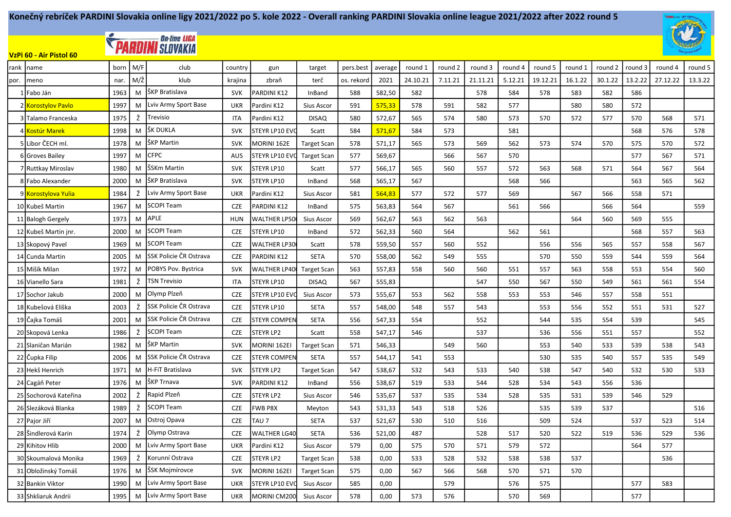

## **EXAMPLE DE LIGARDINI SLOVAKIA**

VzPi 60 - Air Pistol 60

| rank | Iname                            | born | M/F | club                   | country    | gun                 | target             | pers.best  | average | round 1  | round 2 | round 3  | round 4 | round 5  | round 1 | round 2 | round 3 | round 4  | round 5 |
|------|----------------------------------|------|-----|------------------------|------------|---------------------|--------------------|------------|---------|----------|---------|----------|---------|----------|---------|---------|---------|----------|---------|
| por. | meno                             | nar. | M/Ž | klub                   | krajina    | zbraň               | terč               | os. rekord | 2021    | 24.10.21 | 7.11.21 | 21.11.21 | 5.12.21 | 19.12.21 | 16.1.22 | 30.1.22 | 13.2.22 | 27.12.22 | 13.3.22 |
|      | l¶Fabo Ján                       | 1963 | M   | ŠKP Bratislava         | <b>SVK</b> | PARDINI K12         | InBand             | 588        | 582,50  | 582      |         | 578      | 584     | 578      | 583     | 582     | 586     |          |         |
|      | 2 Korostylov Pavlo               | 1997 | М   | Lviv Army Sport Base   | <b>UKR</b> | Pardini K12         | <b>Sius Ascor</b>  | 591        | 575,33  | 578      | 591     | 582      | 577     |          | 580     | 580     | 572     |          |         |
|      | 3 Talamo Franceska               | 1975 | Ž   | Trevisio               | <b>ITA</b> | Pardini K12         | <b>DISAQ</b>       | 580        | 572,67  | 565      | 574     | 580      | 573     | 570      | 572     | 577     | 570     | 568      | 571     |
|      | 4 <mark>Kostúr Marek</mark>      | 1998 | M   | ŠK DUKLA               | <b>SVK</b> | STEYR LP10 EVO      | Scatt              | 584        | 571,67  | 584      | 573     |          | 581     |          |         |         | 568     | 576      | 578     |
|      | 5 Libor ČECH ml.                 | 1978 | М   | ŠKP Martin             | <b>SVK</b> | MORINI 162E         | <b>Target Scan</b> | 578        | 571,17  | 565      | 573     | 569      | 562     | 573      | 574     | 570     | 575     | 570      | 572     |
|      | 6 Groves Bailey                  | 1997 | М   | <b>CFPC</b>            | <b>AUS</b> | STEYR LP10 EV       | <b>Target Scan</b> | 577        | 569,67  |          | 566     | 567      | 570     |          |         |         | 577     | 567      | 571     |
|      | 7 Ruttkay Miroslav               | 1980 | M   | ŠSKm Martin            | <b>SVK</b> | STEYR LP10          | Scatt              | 577        | 566,17  | 565      | 560     | 557      | 572     | 563      | 568     | 571     | 564     | 567      | 564     |
|      | 8 Fabo Alexander                 | 2000 | М   | ŠKP Bratislava         | <b>SVK</b> | STEYR LP10          | InBand             | 568        | 565,17  | 567      |         |          | 568     | 566      |         |         | 563     | 565      | 562     |
|      | 9 <mark>Korostylova Yulia</mark> | 1984 | Ž   | Lviv Army Sport Base   | <b>UKR</b> | Pardini K12         | Sius Ascor         | 581        | 564,83  | 577      | 572     | 577      | 569     |          | 567     | 566     | 558     | 571      |         |
|      | 10 Kubeš Martin                  | 1967 | M   | <b>SCOPI Team</b>      | <b>CZE</b> | PARDINI K12         | InBand             | 575        | 563,83  | 564      | 567     |          | 561     | 566      |         | 566     | 564     |          | 559     |
|      | 11 Balogh Gergely                | 1973 | М   | <b>APLE</b>            | <b>HUN</b> | <b>WALTHER LP50</b> | Sius Ascor         | 569        | 562,67  | 563      | 562     | 563      |         |          | 564     | 560     | 569     | 555      |         |
|      | 12 Kubeš Martin jnr.             | 2000 | M   | <b>SCOPI Team</b>      | <b>CZE</b> | STEYR LP10          | InBand             | 572        | 562,33  | 560      | 564     |          | 562     | 561      |         |         | 568     | 557      | 563     |
|      | 13 Skopový Pavel                 | 1969 | M   | <b>SCOPI Team</b>      | <b>CZE</b> | <b>WALTHER LP30</b> | Scatt              | 578        | 559,50  | 557      | 560     | 552      |         | 556      | 556     | 565     | 557     | 558      | 567     |
|      | 14 Cunda Martin                  | 2005 | M   | SSK Policie ČR Ostrava | <b>CZE</b> | PARDINI K12         | <b>SETA</b>        | 570        | 558,00  | 562      | 549     | 555      |         | 570      | 550     | 559     | 544     | 559      | 564     |
|      | 15 Mišík Milan                   | 1972 | М   | POBYS Pov. Bystrica    | <b>SVK</b> | <b>WALTHER LP40</b> | <b>Target Scan</b> | 563        | 557,83  | 558      | 560     | 560      | 551     | 557      | 563     | 558     | 553     | 554      | 560     |
|      | 16 Vianello Sara                 | 1981 | Ž   | <b>TSN Trevisio</b>    | <b>ITA</b> | STEYR LP10          | <b>DISAQ</b>       | 567        | 555,83  |          |         | 547      | 550     | 567      | 550     | 549     | 561     | 561      | 554     |
|      | 17 Sochor Jakub                  | 2000 | M   | Olymp Plzeň            | <b>CZE</b> | STEYR LP10 EV       | Sius Ascor         | 573        | 555,67  | 553      | 562     | 558      | 553     | 553      | 546     | 557     | 558     | 551      |         |
|      | 18 Kubešová Eliška               | 2003 | Ž   | SSK Policie ČR Ostrava | <b>CZE</b> | STEYR LP10          | <b>SETA</b>        | 557        | 548,00  | 548      | 557     | 543      |         | 553      | 556     | 552     | 551     | 531      | 527     |
|      | 19 Čajka Tomáš                   | 2001 | M   | SSK Policie ČR Ostrava | <b>CZE</b> | <b>STEYR COMPEN</b> | <b>SETA</b>        | 556        | 547,33  | 554      |         | 552      |         | 544      | 535     | 554     | 539     |          | 545     |
|      | 20 Skopová Lenka                 | 1986 | Ž   | <b>SCOPI Team</b>      | <b>CZE</b> | STEYR LP2           | Scatt              | 558        | 547,17  | 546      |         | 537      |         | 536      | 556     | 551     | 557     |          | 552     |
|      | 21 Slaničan Marián               | 1982 | M   | ŠKP Martin             | <b>SVK</b> | MORINI 162EI        | <b>Target Scan</b> | 571        | 546,33  |          | 549     | 560      |         | 553      | 540     | 533     | 539     | 538      | 543     |
|      | 22 Čupka Filip                   | 2006 | M   | SSK Policie ČR Ostrava | <b>CZE</b> | <b>STEYR COMPEN</b> | <b>SETA</b>        | 557        | 544,17  | 541      | 553     |          |         | 530      | 535     | 540     | 557     | 535      | 549     |
|      | 23 Hekš Henrich                  | 1971 | M   | H-FiT Bratislava       | <b>SVK</b> | <b>STEYR LP2</b>    | <b>Target Scan</b> | 547        | 538,67  | 532      | 543     | 533      | 540     | 538      | 547     | 540     | 532     | 530      | 533     |
|      | 24 Cagáň Peter                   | 1976 | M   | ŠKP Trnava             | <b>SVK</b> | PARDINI K12         | InBand             | 556        | 538,67  | 519      | 533     | 544      | 528     | 534      | 543     | 556     | 536     |          |         |
|      | 25 Sochorová Kateřina            | 2002 | Ž   | Rapid Plzeň            | <b>CZE</b> | STEYR LP2           | Sius Ascor         | 546        | 535,67  | 537      | 535     | 534      | 528     | 535      | 531     | 539     | 546     | 529      |         |
|      | 26 Slezáková Blanka              | 1989 | Ž   | <b>SCOPI Team</b>      | <b>CZE</b> | FWB P8X             | Meyton             | 543        | 531,33  | 543      | 518     | 526      |         | 535      | 539     | 537     |         |          | 516     |
|      | 27 Pajor Jiří                    | 2007 | M   | Ostroj Opava           | <b>CZE</b> | TAU <sub>7</sub>    | <b>SETA</b>        | 537        | 521,67  | 530      | 510     | 516      |         | 509      | 524     |         | 537     | 523      | 514     |
|      | 28 Šindlerová Karin              | 1974 | Ž   | Olymp Ostrava          | <b>CZE</b> | <b>WALTHER LG40</b> | <b>SETA</b>        | 536        | 521,00  | 487      |         | 528      | 517     | 520      | 522     | 519     | 536     | 529      | 536     |
|      | 29 Kihitov Hlib                  | 2000 | М   | Lviv Army Sport Base   | <b>UKR</b> | Pardini K12         | Sius Ascor         | 579        | 0,00    | 575      | 570     | 571      | 579     | 572      |         |         | 564     | 577      |         |
|      | 30 Skoumalová Monika             | 1969 | Ž   | Korunní Ostrava        | <b>CZE</b> | STEYR LP2           | <b>Target Scan</b> | 538        | 0,00    | 533      | 528     | 532      | 538     | 538      | 537     |         |         | 536      |         |
|      | 31 Obložinský Tomáš              | 1976 | M   | ŠSK Mojmírovce         | <b>SVK</b> | MORINI 162EI        | <b>Target Scan</b> | 575        | 0,00    | 567      | 566     | 568      | 570     | 571      | 570     |         |         |          |         |
|      | 32 Bankin Viktor                 | 1990 | M   | Lviv Army Sport Base   | <b>UKR</b> | STEYR LP10 EV       | Sius Ascor         | 585        | 0,00    |          | 579     |          | 576     | 575      |         |         | 577     | 583      |         |
|      | 33 Shkliaruk Andrii              | 1995 | M   | Lviv Army Sport Base   | <b>UKR</b> | MORINI CM200        | Sius Ascor         | 578        | 0,00    | 573      | 576     |          | 570     | 569      |         |         | 577     |          |         |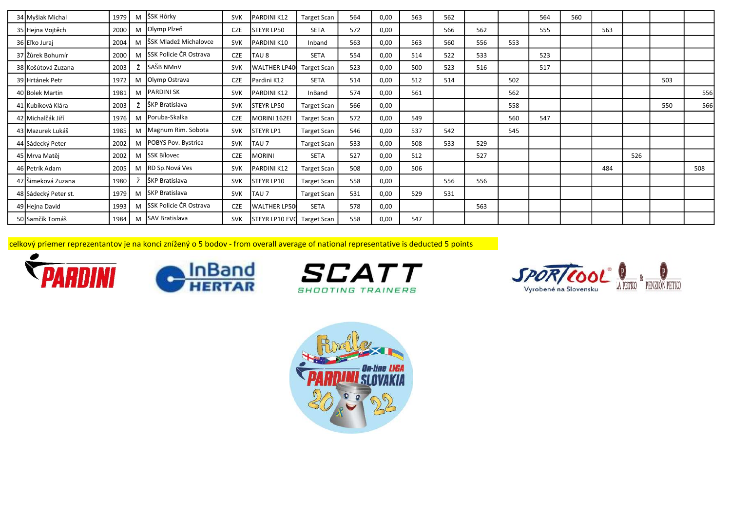| 34 Myšiak Michal     | 1979 |   | M SSK Hôrky                   | <b>SVK</b> | PARDINI K12           | <b>Target Scan</b> | 564 | 0,00 | 563 | 562 |     |     | 564 | 560 |     |     |     |     |
|----------------------|------|---|-------------------------------|------------|-----------------------|--------------------|-----|------|-----|-----|-----|-----|-----|-----|-----|-----|-----|-----|
| 35 Hejna Vojtěch     | 2000 | M | Olymp Plzeň                   | <b>CZE</b> | STEYR LP50            | SETA               | 572 | 0,00 |     | 566 | 562 |     | 555 |     | 563 |     |     |     |
| 36 Eľko Juraj        | 2004 | M | ŠSK Mladež Michalovce         | <b>SVK</b> | PARDINI K10           | Inband             | 563 | 0,00 | 563 | 560 | 556 | 553 |     |     |     |     |     |     |
| 37 Žůrek Bohumír     | 2000 | M | <b>SSK Policie ČR Ostrava</b> | <b>CZE</b> | TAU 8                 | SETA               | 554 | 0,00 | 514 | 522 | 533 |     | 523 |     |     |     |     |     |
| 38 Košútová Zuzana   | 2003 |   | SAŠB NMnV                     | <b>SVK</b> | <b>WALTHER LP40</b>   | <b>Target Scan</b> | 523 | 0,00 | 500 | 523 | 516 |     | 517 |     |     |     |     |     |
| 39 Hrtánek Petr      | 1972 | M | Olymp Ostrava                 | <b>CZE</b> | Pardini K12           | SETA               | 514 | 0,00 | 512 | 514 |     | 502 |     |     |     |     | 503 |     |
| 40 Bolek Martin      | 1981 | M | PARDINI SK                    | <b>SVK</b> | PARDINI K12           | InBand             | 574 | 0,00 | 561 |     |     | 562 |     |     |     |     |     | 556 |
| 41 Kubíková Klára    | 2003 |   | ŠKP Bratislava                | <b>SVK</b> | <b>STEYR LP50</b>     | <b>Target Scan</b> | 566 | 0,00 |     |     |     | 558 |     |     |     |     | 550 | 566 |
| 42 Michalčák Jiří    | 1976 | M | Poruba-Skalka                 | <b>CZE</b> | MORINI 162EI          | <b>Target Scan</b> | 572 | 0,00 | 549 |     |     | 560 | 547 |     |     |     |     |     |
| 43 Mazurek Lukáš     | 1985 | M | Magnum Rim. Sobota            | <b>SVK</b> | <b>STEYR LP1</b>      | <b>Target Scan</b> | 546 | 0,00 | 537 | 542 |     | 545 |     |     |     |     |     |     |
| 44 Sádecký Peter     | 2002 | M | POBYS Pov. Bystrica           | <b>SVK</b> | TAU <sub>7</sub>      | <b>Target Scan</b> | 533 | 0,00 | 508 | 533 | 529 |     |     |     |     |     |     |     |
| 45 Mrva Matěj        | 2002 | M | <b>SSK Bílovec</b>            | <b>CZE</b> | <b>MORINI</b>         | SETA               | 527 | 0,00 | 512 |     | 527 |     |     |     |     | 526 |     |     |
| 46 Petrík Adam       | 2005 | M | RD Sp.Nová Ves                | <b>SVK</b> | PARDINI K12           | <b>Target Scan</b> | 508 | 0,00 | 506 |     |     |     |     |     | 484 |     |     | 508 |
| 47 Šimeková Zuzana   | 1980 |   | ŠKP Bratislava                | <b>SVK</b> | STEYR LP10            | <b>Target Scan</b> | 558 | 0,00 |     | 556 | 556 |     |     |     |     |     |     |     |
| 48 Sádecký Peter st. | 1979 | M | <b>SKP Bratislava</b>         | <b>SVK</b> | TAU 7                 | <b>Target Scan</b> | 531 | 0,00 | 529 | 531 |     |     |     |     |     |     |     |     |
| 49 Hejna David       | 1993 | M | SSK Policie ČR Ostrava        | <b>CZE</b> | <b>WALTHER LP50</b>   | SETA               | 578 | 0,00 |     |     | 563 |     |     |     |     |     |     |     |
| 50 Samčík Tomáš      | 1984 |   | M SAV Bratislava              | <b>SVK</b> | <b>STEYR LP10 EVO</b> | Target Scan        | 558 | 0,00 | 547 |     |     |     |     |     |     |     |     |     |

celkový priemer reprezentantov je na konci znížený o 5 bodov - from overall average of national representative is deducted 5 points







SPOR/COOL 0

Vyrobené na Slovensku

A PETKO PENZIÓN PETKO

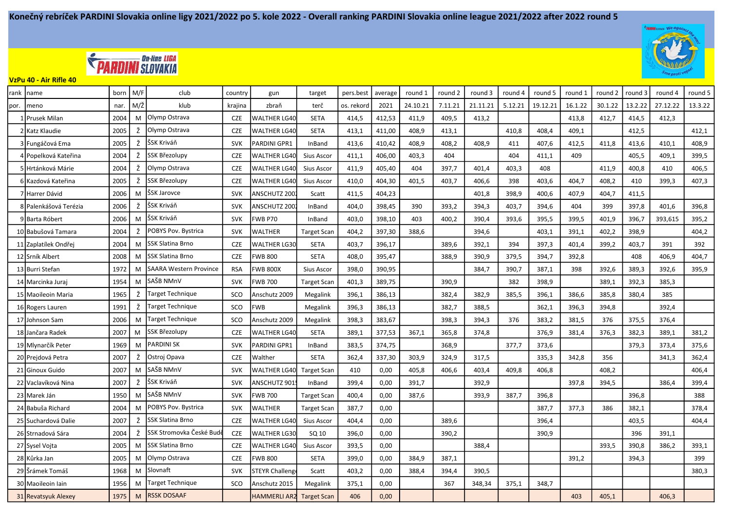



VzPu 40 - Air Rifle 40

| rank | name                  | born | M/F           | club                          | country    | gun                   | target             | pers.best  | average | round 1  | round 2 | round 3  | round 4 | round 5  | round 1 | round 2 | round 3 | round 4  | round 5 |
|------|-----------------------|------|---------------|-------------------------------|------------|-----------------------|--------------------|------------|---------|----------|---------|----------|---------|----------|---------|---------|---------|----------|---------|
| por. | meno                  | nar  | $M/\check{Z}$ | klub                          | krajina    | zbraň                 | terč               | os. rekord | 2021    | 24.10.21 | 7.11.21 | 21.11.21 | 5.12.21 | 19.12.21 | 16.1.22 | 30.1.22 | 13.2.22 | 27.12.22 | 13.3.22 |
|      | 1 Prusek Milan        | 2004 | M             | Olymp Ostrava                 | <b>CZE</b> | <b>WALTHER LG40</b>   | <b>SETA</b>        | 414,5      | 412,53  | 411,9    | 409,5   | 413,2    |         |          | 413,8   | 412,7   | 414,5   | 412,3    |         |
|      | 2 Katz Klaudie        | 2005 | Ž             | Olymp Ostrava                 | <b>CZE</b> | <b>WALTHER LG40</b>   | <b>SETA</b>        | 413,1      | 411,00  | 408,9    | 413,1   |          | 410,8   | 408,4    | 409,1   |         | 412,5   |          | 412,1   |
|      | 3 Fungáčová Ema       | 2005 | Ž             | ŠSK Kriváň                    | <b>SVK</b> | PARDINI GPR1          | InBand             | 413,6      | 410,42  | 408,9    | 408,2   | 408,9    | 411     | 407,6    | 412,5   | 411,8   | 413,6   | 410,1    | 408,9   |
|      | 4 Popelková Kateřina  | 2004 | Ž             | SSK Březolupy                 | <b>CZE</b> | <b>WALTHER LG40</b>   | Sius Ascor         | 411,1      | 406,00  | 403,3    | 404     |          | 404     | 411,1    | 409     |         | 405,5   | 409,1    | 399,5   |
|      | 5 Hrtánková Márie     | 2004 | Ž             | Olymp Ostrava                 | <b>CZE</b> | <b>WALTHER LG40</b>   | Sius Ascor         | 411,9      | 405,40  | 404      | 397,7   | 401,4    | 403,3   | 408      |         | 411,9   | 400,8   | 410      | 406,5   |
|      | 6 Kazdová Kateřina    | 2005 | Ž             | SSK Březolupy                 | <b>CZE</b> | <b>WALTHER LG40</b>   | Sius Ascor         | 410,0      | 404,30  | 401,5    | 403,7   | 406,6    | 398     | 403,6    | 404,7   | 408,2   | 410     | 399,3    | 407,3   |
|      | 7 Harrer Dávid        | 2006 | M             | ŠSK Jarovce                   | <b>SVK</b> | ANSCHUTZ 200          | Scatt              | 411,5      | 404,23  |          |         | 401,8    | 398,9   | 400,6    | 407,9   | 404,7   | 411,5   |          |         |
|      | 8 Palenkášová Terézia | 2006 | Ž             | ŠSK Kriváň                    | <b>SVK</b> | ANSCHUTZ 200          | InBand             | 404,0      | 398,45  | 390      | 393,2   | 394,3    | 403,7   | 394,6    | 404     | 399     | 397,8   | 401,6    | 396,8   |
|      | 9 Barta Róbert        | 2006 | M             | lSSK Kriváň                   | <b>SVK</b> | <b>FWB P70</b>        | InBand             | 403,0      | 398,10  | 403      | 400,2   | 390,4    | 393,6   | 395,5    | 399,5   | 401,9   | 396,7   | 393,615  | 395,2   |
|      | 10 Babušová Tamara    | 2004 | Ž             | POBYS Pov. Bystrica           | <b>SVK</b> | <b>WALTHER</b>        | <b>Target Scan</b> | 404,2      | 397,30  | 388.6    |         | 394,6    |         | 403,1    | 391,1   | 402,2   | 398,9   |          | 404,2   |
|      | 11 Zaplatílek Ondřej  | 2004 | M             | <b>SSK Slatina Brno</b>       | <b>CZE</b> | <b>WALTHER LG30</b>   | <b>SETA</b>        | 403,7      | 396,17  |          | 389,6   | 392,1    | 394     | 397,3    | 401,4   | 399,2   | 403,7   | 391      | 392     |
|      | 12 Srník Albert       | 2008 | M             | <b>SSK Slatina Brno</b>       | <b>CZE</b> | <b>FWB 800</b>        | <b>SETA</b>        | 408,0      | 395,47  |          | 388,9   | 390,9    | 379,5   | 394,7    | 392,8   |         | 408     | 406,9    | 404,7   |
|      | 13 Burri Stefan       | 1972 | M             | <b>SAARA Western Province</b> | <b>RSA</b> | <b>FWB 800X</b>       | Sius Ascor         | 398,0      | 390,95  |          |         | 384,7    | 390,7   | 387,1    | 398     | 392,6   | 389,3   | 392,6    | 395,9   |
|      | 14 Marcinka Juraj     | 1954 | M             | SAŠB NMnV                     | <b>SVK</b> | <b>FWB 700</b>        | <b>Target Scan</b> | 401.3      | 389,75  |          | 390.9   |          | 382     | 398.9    |         | 389.1   | 392,3   | 385.3    |         |
|      | 15 Maoileoin Maria    | 1965 | Ž             | <b>Target Technique</b>       | SCO        | Anschutz 2009         | Megalink           | 396,1      | 386,13  |          | 382,4   | 382,9    | 385,5   | 396,1    | 386,6   | 385,8   | 380,4   | 385      |         |
|      | 16 Rogers Lauren      | 1991 | Ž             | <b>Target Technique</b>       | SCO        | <b>FWB</b>            | Megalink           | 396,3      | 386,13  |          | 382,7   | 388,5    |         | 362,1    | 396,3   | 394,8   |         | 392,4    |         |
|      | 17 Johnson Sam        | 2006 | M             | <b>Target Technique</b>       | SCO        | Anschutz 2009         | Megalink           | 398,3      | 383,67  |          | 398,3   | 394,3    | 376     | 383,2    | 381,5   | 376     | 375,5   | 376,4    |         |
|      | 18 Jančara Radek      | 2007 | M             | SSK Březolupy                 | <b>CZE</b> | <b>WALTHER LG40</b>   | <b>SETA</b>        | 389,1      | 377,53  | 367,1    | 365,8   | 374,8    |         | 376,9    | 381,4   | 376,3   | 382,3   | 389,1    | 381,2   |
|      | 19 Mlynarčík Peter    | 1969 | M             | <b>PARDINI SK</b>             | <b>SVK</b> | PARDINI GPR1          | InBand             | 383,5      | 374,75  |          | 368,9   |          | 377,7   | 373,6    |         |         | 379,3   | 373,4    | 375,6   |
|      | 20 Prejdová Petra     | 2007 | Ž             | Ostroj Opava                  | <b>CZE</b> | Walther               | <b>SETA</b>        | 362,4      | 337,30  | 303,9    | 324,9   | 317,5    |         | 335,3    | 342,8   | 356     |         | 341,3    | 362,4   |
|      | 21 Ginoux Guido       | 2007 | M             | SAŠB NMnV                     | <b>SVK</b> | <b>WALTHER LG40</b>   | <b>Target Scan</b> | 410        | 0,00    | 405,8    | 406,6   | 403,4    | 409,8   | 406,8    |         | 408,2   |         |          | 406,4   |
|      | 22 Vaclavíková Nina   | 2007 | Ž             | ŠSK Kriváň                    | <b>SVK</b> | ANSCHUTZ 901          | InBand             | 399,4      | 0,00    | 391,7    |         | 392,9    |         |          | 397,8   | 394,5   |         | 386,4    | 399,4   |
|      | 23 Marek Ján          | 1950 | M             | SAŠB NMnV                     | <b>SVK</b> | <b>FWB 700</b>        | Target Scan        | 400,4      | 0,00    | 387,6    |         | 393,9    | 387,7   | 396,8    |         |         | 396,8   |          | 388     |
|      | 24 Babuša Richard     | 2004 | M             | POBYS Pov. Bystrica           | <b>SVK</b> | WALTHER               | Target Scan        | 387,7      | 0,00    |          |         |          |         | 387,7    | 377,3   | 386     | 382,1   |          | 378,4   |
|      | 25 Suchardová Dalie   | 2007 | Ž             | <b>SSK Slatina Brno</b>       | <b>CZE</b> | <b>WALTHER LG40</b>   | <b>Sius Ascor</b>  | 404,4      | 0,00    |          | 389,6   |          |         | 396,4    |         |         | 403,5   |          | 404,4   |
|      | 26 Strnadová Sára     | 2004 | Ž             | SSK Stromovka České Bud       | <b>CZE</b> | <b>WALTHER LG30</b>   | SQ 10              | 396,0      | 0,00    |          | 390,2   |          |         | 390,9    |         |         | 396     | 391,1    |         |
|      | 27 Sysel Vojta        | 2005 | M             | <b>SSK Slatina Brno</b>       | <b>CZE</b> | <b>WALTHER LG40</b>   | Sius Ascor         | 393,5      | 0,00    |          |         | 388,4    |         |          |         | 393,5   | 390,8   | 386,2    | 393,1   |
|      | 28 Kůrka Jan          | 2005 | M             | Olymp Ostrava                 | <b>CZE</b> | <b>FWB 800</b>        | <b>SETA</b>        | 399,0      | 0,00    | 384,9    | 387,1   |          |         |          | 391,2   |         | 394,3   |          | 399     |
|      | 29 Šrámek Tomáš       | 1968 | M             | Slovnaft                      | <b>SVK</b> | <b>STEYR Challeng</b> | Scatt              | 403,2      | 0,00    | 388,4    | 394,4   | 390,5    |         |          |         |         |         |          | 380,3   |
|      | 30 Maoileoin Iain     | 1956 | M             | Target Technique              | SCO        | Anschutz 2015         | Megalink           | 375,1      | 0,00    |          | 367     | 348,34   | 375,1   | 348,7    |         |         |         |          |         |
|      | 31 Revatsyuk Alexey   | 1975 | M             | <b>RSSK DOSAAF</b>            |            | <b>HAMMERLI AR2</b>   | <b>Target Scan</b> | 406        | 0,00    |          |         |          |         |          | 403     | 405,1   |         | 406,3    |         |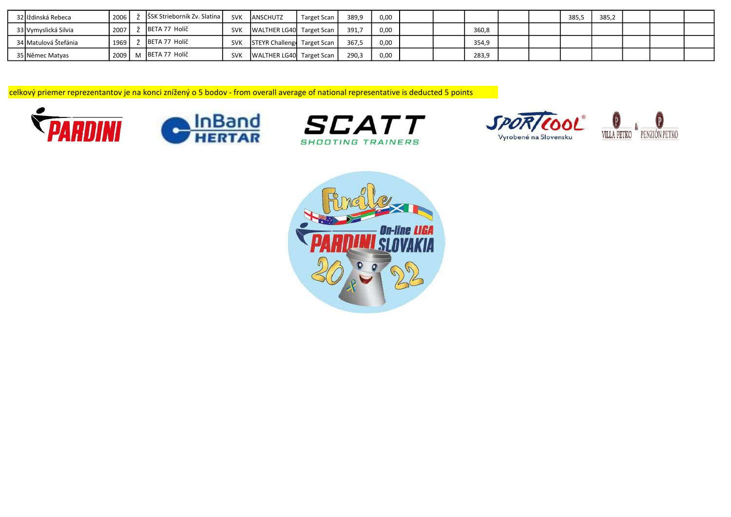| 32 liždinská Rebeca  | 2006   | ŠSK Strieborník Zv. Slatina | <b>SVK</b> | <b>JANSCHUTZ</b>            | Target Scan | 389.9 | 0,00 |  |       |  | 385,5 | 385,2 |  |  |
|----------------------|--------|-----------------------------|------------|-----------------------------|-------------|-------|------|--|-------|--|-------|-------|--|--|
| 33 Vymyslická Silvia | 2007   | BETA 77 Holíč               | <b>SVK</b> | WALTHER LG40 Target Scan    |             | 391.7 | 0,00 |  | 360,8 |  |       |       |  |  |
| 34 Matulová Štefánia | 1969   | BETA 77 Holíč               | <b>SVK</b> | STEYR Challenge Target Scan |             | 367.5 | 0.00 |  | 354,9 |  |       |       |  |  |
| 35 Němec Matyas      | 2009 L | M BETA 77 Holíč             | <b>SVK</b> | WALTHER LG40 Target Scan    |             | 290,3 | 0,00 |  | 283,9 |  |       |       |  |  |

celkový priemer reprezentantov je na konci znížený o 5 bodov - from overall average of national representative is deducted 5 points









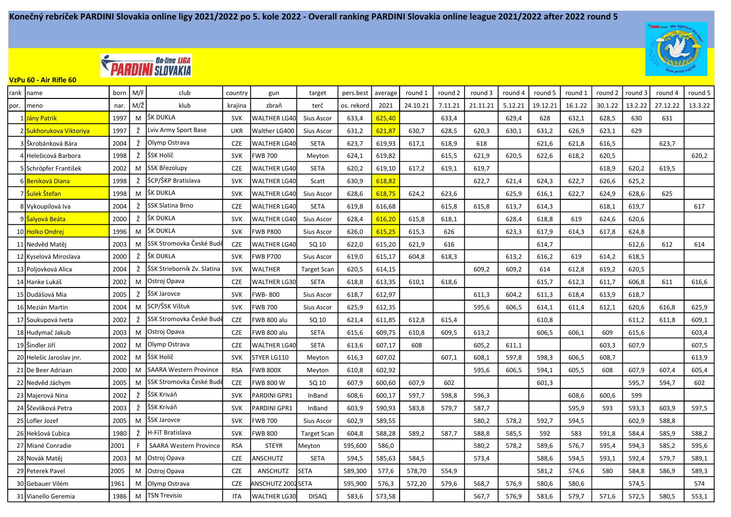



VzPu 60 - Air Rifle 60

| rank | Iname                          | born | M/F           | club                             | country    | gun                 | target             | pers.best  | average | round 1  | round 2 | round 3  | round 4 | round 5  | round 1 | round 2 | round 3 | round 4  | round 5 |
|------|--------------------------------|------|---------------|----------------------------------|------------|---------------------|--------------------|------------|---------|----------|---------|----------|---------|----------|---------|---------|---------|----------|---------|
| por. | Imeno                          | nar. | $M/\check{Z}$ | klub                             | krajina    | zbraň               | terč               | os. rekord | 2021    | 24.10.21 | 7.11.21 | 21.11.21 | 5.12.21 | 19.12.21 | 16.1.22 | 30.1.22 | 13.2.22 | 27.12.22 | 13.3.22 |
|      | 1 Jány Patrik                  | 1997 | M             | lšk dukla                        | <b>SVK</b> | <b>WALTHER LG40</b> | Sius Ascor         | 633,4      | 625,40  |          | 633,4   |          | 629,4   | 628      | 632,1   | 628,5   | 630     | 631      |         |
|      | Sukhorukova Viktoriya          | 1997 | Ž             | Lviv Army Sport Base             | <b>UKR</b> | Walther LG400       | Sius Ascor         | 631,2      | 621,87  | 630,7    | 628,5   | 620,3    | 630,1   | 631,2    | 626,9   | 623,1   | 629     |          |         |
|      | 3   Škrobánková Bára           | 2004 | Ž             | Olymp Ostrava                    | <b>CZE</b> | <b>WALTHER LG40</b> | <b>SETA</b>        | 623,7      | 619,93  | 617,1    | 618,9   | 618      |         | 621,6    | 621,8   | 616,5   |         | 623,7    |         |
|      | 4   Helešicová Barbora         | 1998 | Ž             | ŠSK Holíč                        | <b>SVK</b> | <b>FWB 700</b>      | Meyton             | 624,1      | 619,82  |          | 615,5   | 621,9    | 620,5   | 622,6    | 618,2   | 620,5   |         |          | 620,2   |
|      | 5 Schröpfer František          | 2002 | M             | <b>SSK Březolupy</b>             | <b>CZE</b> | <b>WALTHER LG40</b> | <b>SETA</b>        | 620,2      | 619,10  | 617,2    | 619,1   | 619,7    |         |          |         | 618,9   | 620,2   | 619,5    |         |
|      | 6 <mark>Beniková Diana</mark>  | 1998 | Ž             | ŠCP/ŠKP Bratislava               | <b>SVK</b> | <b>WALTHER LG40</b> | Scatt              | 630,9      | 618,82  |          |         | 622,7    | 621,4   | 624,3    | 622,7   | 626,6   | 625,2   |          |         |
|      | 7 <mark>Šulek Štefan</mark>    | 1998 | M             | ŠK DUKLA                         | <b>SVK</b> | <b>WALTHER LG40</b> | Sius Ascor         | 628,6      | 618,75  | 624,2    | 623,6   |          | 625,9   | 616,1    | 622,7   | 624,9   | 628,6   | 625      |         |
|      | 8 Vykoupilová Iva              | 2004 | Ž             | <b>SSK Slatina Brno</b>          | <b>CZE</b> | <b>WALTHER LG40</b> | <b>SETA</b>        | 619,8      | 616,68  |          | 615,8   | 615,8    | 613,7   | 614,3    |         | 618,1   | 619,7   |          | 617     |
|      | 9 <mark>  Šalyová Beáta</mark> | 2000 | Ž             | ŠK DUKLA                         | <b>SVK</b> | <b>WALTHER LG40</b> | Sius Ascor         | 628,4      | 616,20  | 615,8    | 618,1   |          | 628,4   | 618,8    | 619     | 624,6   | 620,6   |          |         |
|      | 10 Holko Ondrej                | 1996 | M             | ŠK DUKLA                         | <b>SVK</b> | <b>FWB P800</b>     | Sius Ascor         | 626,0      | 615,25  | 615,3    | 626     |          | 623,3   | 617,9    | 614,3   | 617,8   | 624,8   |          |         |
|      | 11 Nedvěd Matěj                | 2003 | M             | lSSK Stromovka České Budi        | <b>CZE</b> | <b>WALTHER LG40</b> | SQ 10              | 622.0      | 615,20  | 621.9    | 616     |          |         | 614,7    |         |         | 612.6   | 612      | 614     |
|      | 12 Kyselová Miroslava          | 2000 | Ž             | ŠK DUKLA                         | <b>SVK</b> | <b>FWB P700</b>     | Sius Ascor         | 619,0      | 615,17  | 604,8    | 618,3   |          | 613,2   | 616,2    | 619     | 614,2   | 618,5   |          |         |
|      | 13 Poljovková Alica            | 2004 | Ž             | ŠSK Strieborník Zv. Slatina      | <b>SVK</b> | <b>WALTHER</b>      | <b>Target Scan</b> | 620,5      | 614,15  |          |         | 609,2    | 609,2   | 614      | 612,8   | 619,2   | 620,5   |          |         |
|      | 14 Hanke Lukáš                 | 2002 | M             | Ostroj Opava                     | <b>CZE</b> | <b>WALTHER LG30</b> | <b>SETA</b>        | 618,8      | 613,35  | 610,1    | 618,6   |          |         | 615,7    | 612,3   | 611,7   | 606,8   | 611      | 616,6   |
|      | 15 Dudášová Mia                | 2005 | ž             | ŠSK Jarovce                      | <b>SVK</b> | <b>FWB-800</b>      | Sius Ascor         | 618.7      | 612,97  |          |         | 611,3    | 604.2   | 611.3    | 618,4   | 613,9   | 618,7   |          |         |
|      | 16 Mezián Martin               | 2004 | M             | SCP/ŠSK Vištuk                   | <b>SVK</b> | <b>FWB 700</b>      | Sius Ascor         | 625,9      | 612,35  |          |         | 595,6    | 606,5   | 614,1    | 611,4   | 612,1   | 620,6   | 616,8    | 625,9   |
|      | 17 Soukupová Iveta             | 2002 | Ž             | <b>I</b> SSK Stromovka České Bud | <b>CZE</b> | <b>FWB 800 alu</b>  | SQ 10              | 621,4      | 611,85  | 612,8    | 615,4   |          |         | 610,8    |         |         | 611,2   | 611,8    | 609,1   |
|      | 18 Hudymač Jakub               | 2003 | M             | Ostroj Opava                     | <b>CZE</b> | <b>FWB 800 alu</b>  | <b>SETA</b>        | 615,6      | 609,75  | 610,8    | 609,5   | 613,2    |         | 606,5    | 606,1   | 609     | 615,6   |          | 603,4   |
|      | 19 Šindler Jiří                | 2002 | M             | Olymp Ostrava                    | <b>CZE</b> | <b>WALTHER LG40</b> | <b>SETA</b>        | 613,6      | 607,17  | 608      |         | 605,2    | 611,1   |          |         | 603,3   | 607,9   |          | 607,5   |
|      | 20 Helešic Jaroslav jnr.       | 2002 | M             | ŠSK Holíč                        | <b>SVK</b> | STYER LG110         | Meyton             | 616,3      | 607,02  |          | 607,1   | 608,1    | 597,8   | 598,3    | 606,5   | 608,7   |         |          | 613,9   |
|      | 21 De Beer Adriaan             | 2000 | M             | <b>SAARA Western Province</b>    | <b>RSA</b> | <b>FWB 800X</b>     | Meyton             | 610,8      | 602,92  |          |         | 595,6    | 606,5   | 594,1    | 605,5   | 608     | 607,9   | 607,4    | 605,4   |
|      | 22 Nedvěd Jáchym               | 2005 | M             | SSK Stromovka České Budi         | <b>CZE</b> | <b>FWB 800 W</b>    | SQ 10              | 607,9      | 600,60  | 607,9    | 602     |          |         | 601,3    |         |         | 595,7   | 594,7    | 602     |
|      | 23 Majerová Nina               | 2002 | Ž             | SSK Kriváň                       | <b>SVK</b> | PARDINI GPR1        | InBand             | 608,6      | 600,17  | 597,7    | 598,8   | 596,3    |         |          | 608,6   | 600,6   | 599     |          |         |
|      | 24 Ščevlíková Petra            | 2003 | Ž             | lŠSK Kriváň                      | <b>SVK</b> | PARDINI GPR1        | InBand             | 603,9      | 590,93  | 583,8    | 579,7   | 587,7    |         |          | 595,9   | 593     | 593,3   | 603.9    | 597,5   |
|      | 25 Lofler Jozef                | 2005 | M             | ŠSK Jarovce                      | <b>SVK</b> | <b>FWB 700</b>      | Sius Ascor         | 602,9      | 589,55  |          |         | 580,2    | 578,2   | 592,7    | 594,5   |         | 602,9   | 588,8    |         |
|      | 26 Hekšová Ľubica              | 1980 | Ž             | H-FiT Bratislava                 | <b>SVK</b> | <b>FWB 800</b>      | <b>Target Scan</b> | 604,8      | 588,28  | 589,2    | 587,7   | 588,8    | 585,5   | 592      | 583     | 591,8   | 584,4   | 585,9    | 588,2   |
|      | 27 Miané Conradie              | 2001 | F             | <b>SAARA Western Province</b>    | <b>RSA</b> | <b>STEYR</b>        | Meyton             | 595,600    | 586,0   |          |         | 580,2    | 578,2   | 589,6    | 576,7   | 595,4   | 594,3   | 585,2    | 595,6   |
|      | 28 Novák Matěj                 | 2003 | M             | Ostroj Opava                     | <b>CZE</b> | ANSCHUTZ            | <b>SETA</b>        | 594,5      | 585,63  | 584,5    |         | 573,4    |         | 588,6    | 594,5   | 593,1   | 592,4   | 579,7    | 589,1   |
|      | 29 Peterek Pavel               | 2005 | M             | Ostroj Opava                     | <b>CZE</b> | ANSCHUTZ            | <b>SETA</b>        | 589,300    | 577,6   | 578,70   | 554,9   |          |         | 581,2    | 574,6   | 580     | 584,8   | 586,9    | 589,3   |
|      | 30 Gebauer Vilém               | 1961 | M             | Olymp Ostrava                    | <b>CZE</b> | ANSCHUTZ 2002 SETA  |                    | 595,900    | 576,3   | 572,20   | 579,6   | 568,7    | 576,9   | 580,6    | 580,6   |         | 574,5   |          | 574     |
|      | 31 Vianello Geremia            | 1986 | M             | <b>TSN Trevisio</b>              | <b>ITA</b> | <b>WALTHER LG30</b> | <b>DISAQ</b>       | 583,6      | 573,58  |          |         | 567,7    | 576,9   | 583,6    | 579,7   | 571,6   | 572,5   | 580.5    | 553,1   |